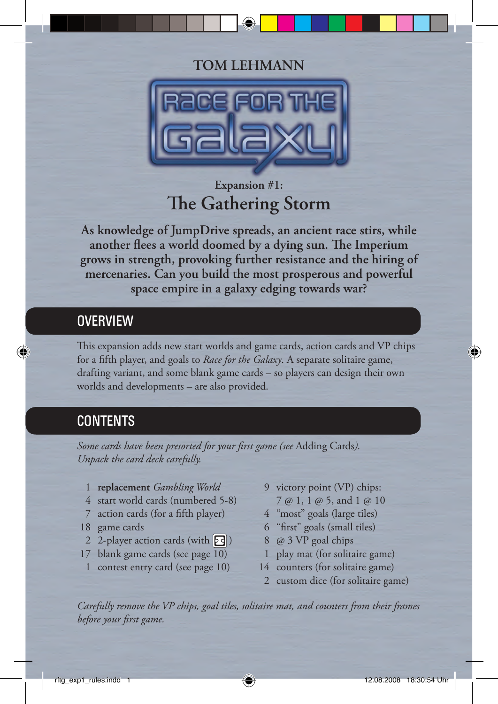## **TOM LEHMANN**



# **Expansion #1: The Gathering Storm**

**As knowledge of JumpDrive spreads, an ancient race stirs, while** another flees a world doomed by a dying sun. The Imperium **grows in strength, provoking further resistance and the hiring of mercenaries. Can you build the most prosperous and powerful space empire in a galaxy edging towards war?**

## **OVERVIEW**

This expansion adds new start worlds and game cards, action cards and VP chips for a fifth player, and goals to *Race for the Galaxy*. A separate solitaire game, drafting variant, and some blank game cards – so players can design their own worlds and developments – are also provided.

## **CONTENTS**

Some cards have been presorted for your first game (see Adding Cards). *Unpack the card deck carefully.*

- 1 **replacement** *Gambling World*
- 4 start world cards (numbered 5-8)
- 7 action cards (for a fifth player)
- 18 game cards
- 2-player action cards (with  $\boxed{5}$ )
- 17 blank game cards (see page 10)
- 1 contest entry card (see page 10)
- 9 victory point (VP) chips:
	- 7 @ 1, 1 @ 5, and 1 @ 10
- 4 "most" goals (large tiles)
- 6 "first" goals (small tiles)
- 8 @ 3 VP goal chips
- 1 play mat (for solitaire game)
- 14 counters (for solitaire game)
- 2 custom dice (for solitaire game)

*Carefully remove the VP chips, goal tiles, solitaire mat, and counters from their frames before your first game.*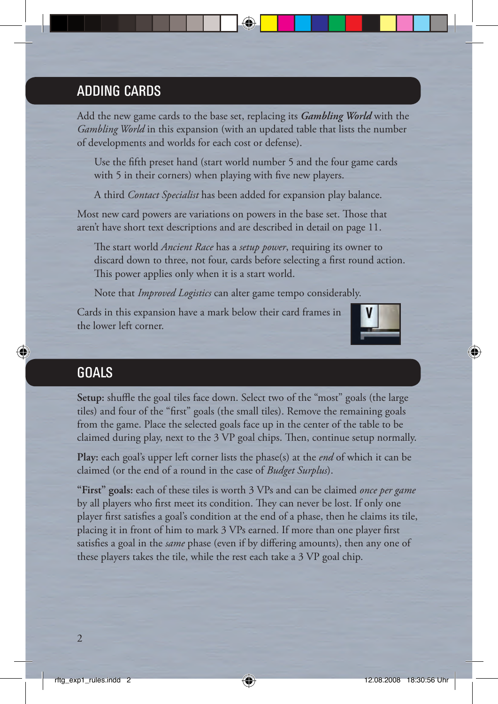## ADDING CARDS

Add the new game cards to the base set, replacing its *Gambling World* with the *Gambling World* in this expansion (with an updated table that lists the number of developments and worlds for each cost or defense).

Use the fifth preset hand (start world number 5 and the four game cards with 5 in their corners) when playing with five new players.

A third *Contact Specialist* has been added for expansion play balance.

Most new card powers are variations on powers in the base set. Those that aren't have short text descriptions and are described in detail on page 11.

The start world *Ancient Race* has a *setup power*, requiring its owner to discard down to three, not four, cards before selecting a first round action. This power applies only when it is a start world.

Note that *Improved Logistics* can alter game tempo considerably.

Cards in this expansion have a mark below their card frames in the lower left corner.



## **GOALS**

**Setup:** shuffle the goal tiles face down. Select two of the "most" goals (the large tiles) and four of the "first" goals (the small tiles). Remove the remaining goals from the game. Place the selected goals face up in the center of the table to be claimed during play, next to the 3 VP goal chips. Then, continue setup normally.

**Play:** each goal's upper left corner lists the phase(s) at the *end* of which it can be claimed (or the end of a round in the case of *Budget Surplus*).

**"First" goals:** each of these tiles is worth 3 VPs and can be claimed *once per game* by all players who first meet its condition. They can never be lost. If only one player first satisfies a goal's condition at the end of a phase, then he claims its tile, placing it in front of him to mark 3 VPs earned. If more than one player first satisfies a goal in the *same* phase (even if by differing amounts), then any one of these players takes the tile, while the rest each take a 3 VP goal chip.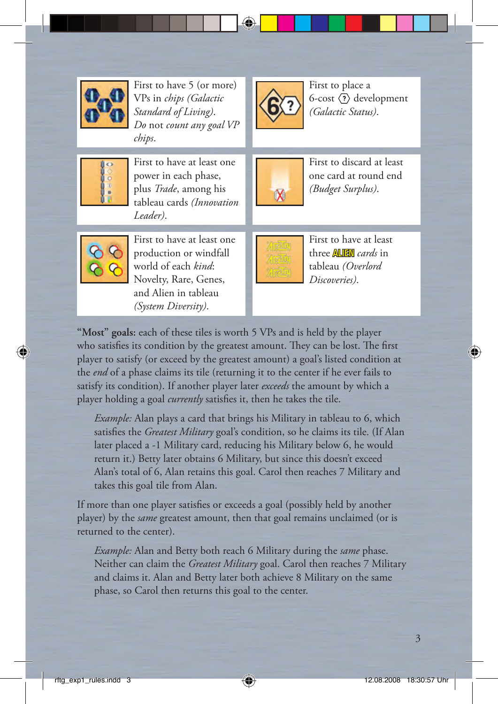

First to have 5 (or more) VPs in *chips (Galactic Standard of Living)*. *Do* not *count any goal VP chips*.



First to place a 6-cost  $\langle \overline{?}\rangle$  development *(Galactic Status)*.



First to have at least one power in each phase, plus *Trade*, among his tableau cards *(Innovation Leader)*.



First to discard at least one card at round end *(Budget Surplus)*.



First to have at least one production or windfall world of each *kind*: Novelty, Rare, Genes, and Alien in tableau *(System Diversity)*.



First to have at least three ALIEN *cards* in tableau *(Overlord Discoveries)*.

**"Most" goals:** each of these tiles is worth 5 VPs and is held by the player who satisfies its condition by the greatest amount. They can be lost. The first player to satisfy (or exceed by the greatest amount) a goal's listed condition at the *end* of a phase claims its tile (returning it to the center if he ever fails to satisfy its condition). If another player later *exceeds* the amount by which a player holding a goal *currently* satisfies it, then he takes the tile.

 *Example:* Alan plays a card that brings his Military in tableau to 6, which satisfies the *Greatest Military* goal's condition, so he claims its tile. (If Alan later placed a -1 Military card, reducing his Military below 6, he would return it.) Betty later obtains 6 Military, but since this doesn't exceed Alan's total of 6, Alan retains this goal. Carol then reaches 7 Military and takes this goal tile from Alan.

If more than one player satisfies or exceeds a goal (possibly held by another player) by the *same* greatest amount, then that goal remains unclaimed (or is returned to the center).

 *Example:* Alan and Betty both reach 6 Military during the *same* phase. Neither can claim the *Greatest Military* goal. Carol then reaches 7 Military and claims it. Alan and Betty later both achieve 8 Military on the same phase, so Carol then returns this goal to the center.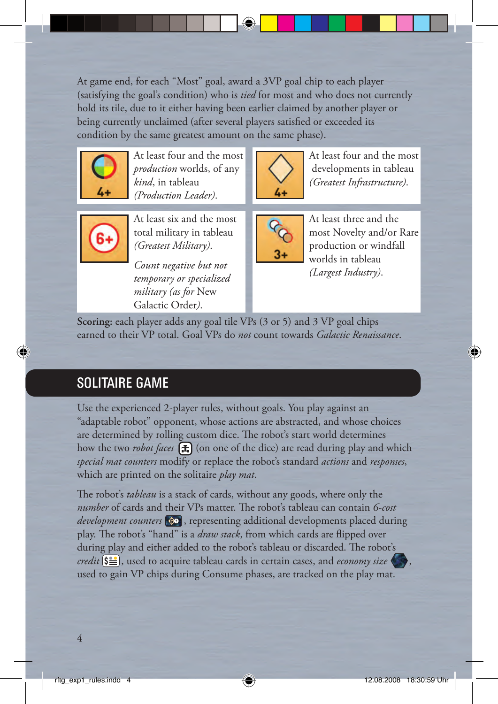At game end, for each "Most" goal, award a 3VP goal chip to each player (satisfying the goal's condition) who is *tied* for most and who does not currently hold its tile, due to it either having been earlier claimed by another player or being currently unclaimed (after several players satisfied or exceeded its condition by the same greatest amount on the same phase).



At least four and the most *production* worlds, of any *kind*, in tableau *(Production Leader)*.



At least four and the most developments in tableau *(Greatest Infrastructure)*.



At least six and the most total military in tableau *(Greatest Military)*.

*Count negative but not temporary or specialized military (as for* New Galactic Order*)*.



At least three and the most Novelty and/or Rare production or windfall worlds in tableau *(Largest Industry)*.

**Scoring:** each player adds any goal tile VPs (3 or 5) and 3 VP goal chips earned to their VP total. Goal VPs do *not* count towards *Galactic Renaissance*.

# SOLITAIRE GAME

Use the experienced 2-player rules, without goals. You play against an "adaptable robot" opponent, whose actions are abstracted, and whose choices are determined by rolling custom dice. The robot's start world determines how the two *robot faces* **(F)** (on one of the dice) are read during play and which *special mat counters* modify or replace the robot's standard *actions* and *responses*, which are printed on the solitaire *play mat*.

The robot's *tableau* is a stack of cards, without any goods, where only the *number* of cards and their VPs matter. The robot's tableau can contain 6-cost *development counters*  $\circledast$ , representing additional developments placed during play. The robot's "hand" is a *draw stack*, from which cards are flipped over during play and either added to the robot's tableau or discarded. The robot's *credit*  $\left(\frac{S}{S}\right)$ , used to acquire tableau cards in certain cases, and *economy size* used to gain VP chips during Consume phases, are tracked on the play mat.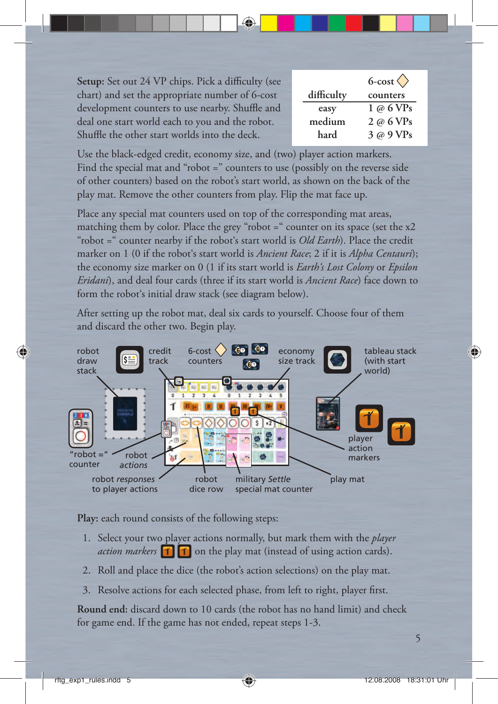Setup: Set out 24 VP chips. Pick a difficulty (see chart) and set the appropriate number of 6-cost development counters to use nearby. Shuffle and deal one start world each to you and the robot. Shuffle the other start worlds into the deck.

|            | $6$ -cost $\langle \rangle$   |
|------------|-------------------------------|
| difficulty | counters                      |
| easy       | 1 @ 6 VPs                     |
| medium     | $2 \varnothing 6 \text{ VPs}$ |
| hard       | 3 @ 9 VPs                     |

Use the black-edged credit, economy size, and (two) player action markers. Find the special mat and "robot =" counters to use (possibly on the reverse side of other counters) based on the robot's start world, as shown on the back of the play mat. Remove the other counters from play. Flip the mat face up.

Place any special mat counters used on top of the corresponding mat areas, matching them by color. Place the grey "robot = " counter on its space (set the x2 "robot =" counter nearby if the robot's start world is *Old Earth*). Place the credit marker on 1 (0 if the robot's start world is *Ancient Race*; 2 if it is *Alpha Centauri*); the economy size marker on 0 (1 if its start world is *Earth's Lost Colony* or *Epsilon Eridani*), and deal four cards (three if its start world is *Ancient Race*) face down to form the robot's initial draw stack (see diagram below).

After setting up the robot mat, deal six cards to yourself. Choose four of them and discard the other two. Begin play.



**Play:** each round consists of the following steps:

- 1. Select your two player actions normally, but mark them with the *player action markers* **1 1** on the play mat (instead of using action cards).
- 2. Roll and place the dice (the robot's action selections) on the play mat.
- 3. Resolve actions for each selected phase, from left to right, player first.

**Round end:** discard down to 10 cards (the robot has no hand limit) and check for game end. If the game has not ended, repeat steps 1-3.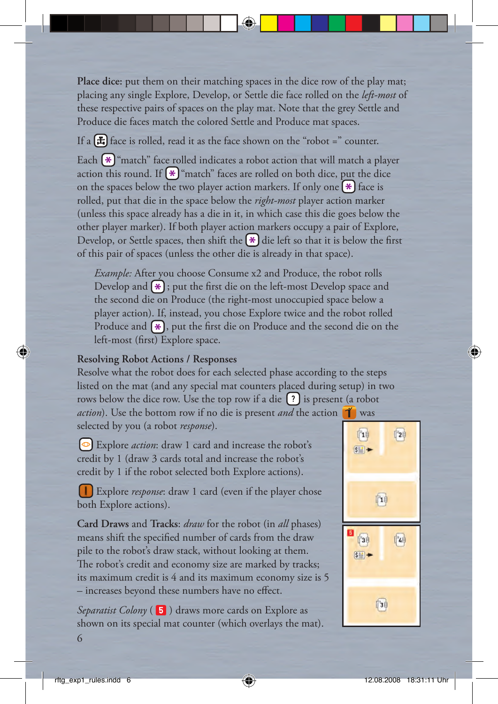**Place dice:** put them on their matching spaces in the dice row of the play mat; placing any single Explore, Develop, or Settle die face rolled on the *left-most* of these respective pairs of spaces on the play mat. Note that the grey Settle and Produce die faces match the colored Settle and Produce mat spaces.

If a  $\left(\frac{1}{2}\right)$  face is rolled, read it as the face shown on the "robot =" counter. Each  $*$  "match" face rolled indicates a robot action that will match a player action this round. If  $\mathbb{R}$  "match" faces are rolled on both dice, put the dice on the spaces below the two player action markers. If only one  $(*)$  face is rolled, put that die in the space below the *right-most* player action marker (unless this space already has a die in it, in which case this die goes below the other player marker). If both player action markers occupy a pair of Explore, Develop, or Settle spaces, then shift the  $\ast$  die left so that it is below the first of this pair of spaces (unless the other die is already in that space).

 *Example:* After you choose Consume x2 and Produce, the robot rolls Develop and  $*$ ; put the first die on the left-most Develop space and the second die on Produce (the right-most unoccupied space below a player action). If, instead, you chose Explore twice and the robot rolled Produce and  $(*)$ , put the first die on Produce and the second die on the left-most (first) Explore space.

#### **Resolving Robot Actions / Responses**

Resolve what the robot does for each selected phase according to the steps listed on the mat (and any special mat counters placed during setup) in two rows below the dice row. Use the top row if a die  $\binom{?}{?}$  is present (a robot *action*). Use the bottom row if no die is present *and* the action  $\mathbf{\hat{I}}$  was

selected by you (a robot *response*).

Explore *action*: draw 1 card and increase the robot's credit by 1 (draw 3 cards total and increase the robot's credit by 1 if the robot selected both Explore actions).

 Explore *response*: draw 1 card (even if the player chose both Explore actions).

**Card Draws** and **Tracks**: *draw* for the robot (in *all* phases) means shift the specified number of cards from the draw pile to the robot's draw stack, without looking at them. The robot's credit and economy size are marked by tracks; its maximum credit is 4 and its maximum economy size is 5 – increases beyond these numbers have no effect.

*Separatist Colony* (**5**) draws more cards on Explore as shown on its special mat counter (which overlays the mat).

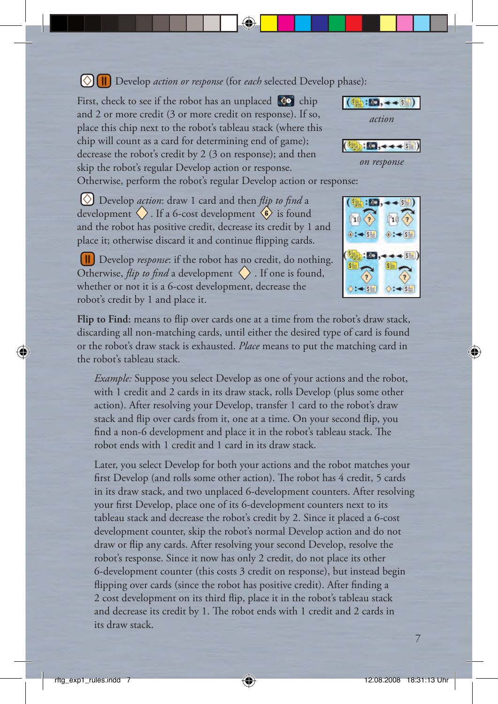#### Develop *action or response* (for *each* selected Develop phase):

First, check to see if the robot has an unplaced  $\left| \mathbf{e} \right|$  chip and 2 or more credit (3 or more credit on response). If so, place this chip next to the robot's tableau stack (where this chip will count as a card for determining end of game); decrease the robot's credit by 2 (3 on response); and then skip the robot's regular Develop action or response.



*on response*

Otherwise, perform the robot's regular Develop action or response:

**(** $\Diamond$ **)** Develop *action*: draw 1 card and then *flip to find* a development  $\langle \rangle$ . If a 6-cost development  $\langle \hat{\mathbf{s}} \rangle$  is found and the robot has positive credit, decrease its credit by 1 and place it; otherwise discard it and continue flipping cards.



 Develop *response*: if the robot has no credit, do nothing. Otherwise, *flip to find* a development  $\langle \rangle$ . If one is found, whether or not it is a 6-cost development, decrease the robot's credit by 1 and place it.

Flip to Find: means to flip over cards one at a time from the robot's draw stack, discarding all non-matching cards, until either the desired type of card is found or the robot's draw stack is exhausted. *Place* means to put the matching card in the robot's tableau stack.

*Example:* Suppose you select Develop as one of your actions and the robot, with 1 credit and 2 cards in its draw stack, rolls Develop (plus some other action). After resolving your Develop, transfer 1 card to the robot's draw stack and flip over cards from it, one at a time. On your second flip, you find a non-6 development and place it in the robot's tableau stack. The robot ends with 1 credit and 1 card in its draw stack.

 Later, you select Develop for both your actions and the robot matches your first Develop (and rolls some other action). The robot has 4 credit, 5 cards in its draw stack, and two unplaced 6-development counters. After resolving your first Develop, place one of its 6-development counters next to its tableau stack and decrease the robot's credit by 2. Since it placed a 6-cost development counter, skip the robot's normal Develop action and do not draw or flip any cards. After resolving your second Develop, resolve the robot's response. Since it now has only 2 credit, do not place its other 6-development counter (this costs 3 credit on response), but instead begin flipping over cards (since the robot has positive credit). After finding a 2 cost development on its third flip, place it in the robot's tableau stack and decrease its credit by 1. The robot ends with 1 credit and 2 cards in its draw stack.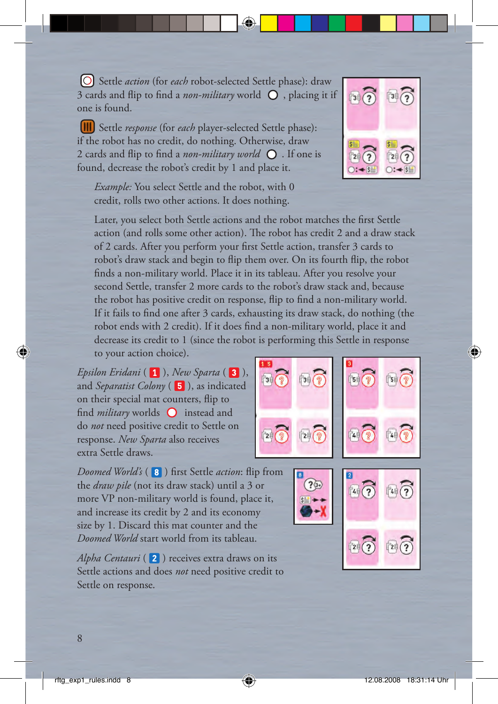Settle *action* (for *each* robot-selected Settle phase): draw 3 cards and flip to find a *non-military* world  $\bigcirc$ , placing it if one is found.

 Settle *response* (for *each* player-selected Settle phase): if the robot has no credit, do nothing. Otherwise, draw 2 cards and flip to find a *non-military world*  $\Omega$ . If one is found, decrease the robot's credit by 1 and place it.

 $\sqrt{3}$ 

 *Example:* You select Settle and the robot, with 0 credit, rolls two other actions. It does nothing.

Later, you select both Settle actions and the robot matches the first Settle action (and rolls some other action). The robot has credit 2 and a draw stack of 2 cards. After you perform your first Settle action, transfer 3 cards to robot's draw stack and begin to flip them over. On its fourth flip, the robot finds a non-military world. Place it in its tableau. After you resolve your second Settle, transfer 2 more cards to the robot's draw stack and, because the robot has positive credit on response, flip to find a non-military world. If it fails to find one after  $\beta$  cards, exhausting its draw stack, do nothing (the robot ends with 2 credit). If it does find a non-military world, place it and decrease its credit to 1 (since the robot is performing this Settle in response to your action choice).

*Epsilon Eridani* (1), *New Sparta* (3), and *Separatist Colony* (**5**), as indicated on their special mat counters, flip to find *military* worlds  $\bigcirc$  instead and do *not* need positive credit to Settle on response. *New Sparta* also receives extra Settle draws.

*Doomed World's* (8) first Settle *action*: flip from the *draw pile* (not its draw stack) until a 3 or more VP non-military world is found, place it, and increase its credit by 2 and its economy size by 1. Discard this mat counter and the *Doomed World* start world from its tableau.

*Alpha Centauri* (2) receives extra draws on its Settle actions and does *not* need positive credit to Settle on response.





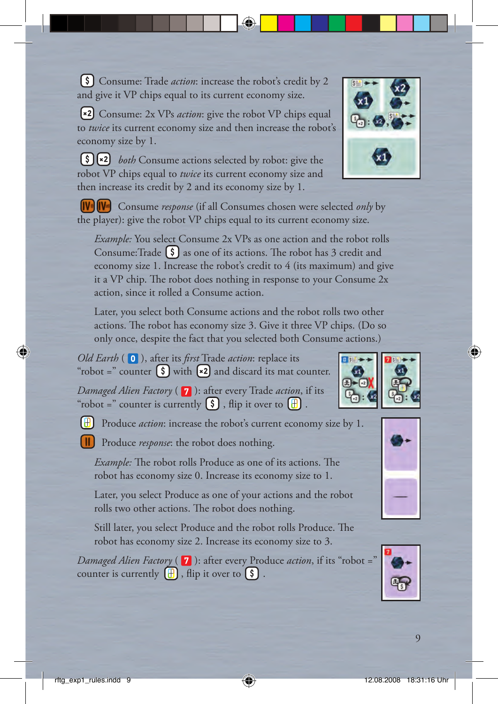Consume: Trade *action*: increase the robot's credit by 2 and give it VP chips equal to its current economy size.

 Consume: 2x VPs *action*: give the robot VP chips equal to *twice* its current economy size and then increase the robot's economy size by 1.

**[\$]**  $\left[\ast 2\right]$  *both* Consume actions selected by robot: give the robot VP chips equal to *twice* its current economy size and then increase its credit by 2 and its economy size by 1.

 Consume *response* (if all Consumes chosen were selected *only* by the player): give the robot VP chips equal to its current economy size.

 *Example:* You select Consume 2x VPs as one action and the robot rolls Consume: Trade  $\lceil \xi \rceil$  as one of its actions. The robot has 3 credit and economy size 1. Increase the robot's credit to 4 (its maximum) and give it a VP chip. The robot does nothing in response to your Consume  $2x$ action, since it rolled a Consume action.

 Later, you select both Consume actions and the robot rolls two other actions. The robot has economy size 3. Give it three VP chips. (Do so only once, despite the fact that you selected both Consume actions.)

*Old Earth* ( **0** ), after its *first* Trade *action*: replace its "robot =" counter  $\binom{?}{}$  with  $\binom{*2}{}$  and discard its mat counter.

*Damaged Alien Factory* (7): after every Trade *action*, if its "robot =" counter is currently  $\binom{5}{3}$ , flip it over to  $\boxed{+}$ .

Produce *action*: increase the robot's current economy size by 1.

Produce *response*: the robot does nothing.

*Example:* The robot rolls Produce as one of its actions. The robot has economy size 0. Increase its economy size to 1.

 Later, you select Produce as one of your actions and the robot rolls two other actions. The robot does nothing.

Still later, you select Produce and the robot rolls Produce. The robot has economy size 2. Increase its economy size to 3.

*Damaged Alien Factory* ( **7** ): after every Produce *action*, if its "robot =' counter is currently  $\begin{bmatrix} \pm \end{bmatrix}$ , flip it over to  $\begin{bmatrix} \text{S} \end{bmatrix}$ .







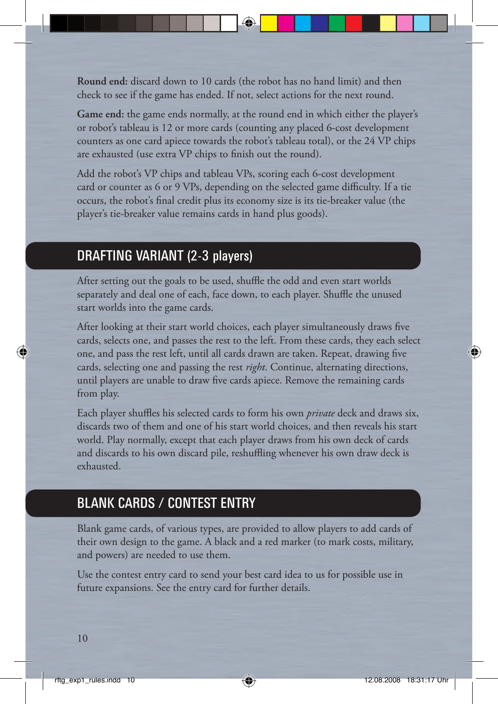**Round end:** discard down to 10 cards (the robot has no hand limit) and then check to see if the game has ended. If not, select actions for the next round.

**Game end:** the game ends normally, at the round end in which either the player's or robot's tableau is 12 or more cards (counting any placed 6-cost development counters as one card apiece towards the robot's tableau total), or the 24 VP chips are exhausted (use extra VP chips to finish out the round).

Add the robot's VP chips and tableau VPs, scoring each 6-cost development card or counter as 6 or 9 VPs, depending on the selected game difficulty. If a tie occurs, the robot's final credit plus its economy size is its tie-breaker value (the player's tie-breaker value remains cards in hand plus goods).

## DRAFTING VARIANT (2-3 players)

After setting out the goals to be used, shuffle the odd and even start worlds separately and deal one of each, face down, to each player. Shuffle the unused start worlds into the game cards.

After looking at their start world choices, each player simultaneously draws five cards, selects one, and passes the rest to the left. From these cards, they each select one, and pass the rest left, until all cards drawn are taken. Repeat, drawing five cards, selecting one and passing the rest *right*. Continue, alternating directions, until players are unable to draw five cards apiece. Remove the remaining cards from play.

Each player shuffles his selected cards to form his own *private* deck and draws six, discards two of them and one of his start world choices, and then reveals his start world. Play normally, except that each player draws from his own deck of cards and discards to his own discard pile, reshuffling whenever his own draw deck is exhausted.

## BLANK CARDS / CONTEST ENTRY

Blank game cards, of various types, are provided to allow players to add cards of their own design to the game. A black and a red marker (to mark costs, military, and powers) are needed to use them.

Use the contest entry card to send your best card idea to us for possible use in future expansions. See the entry card for further details.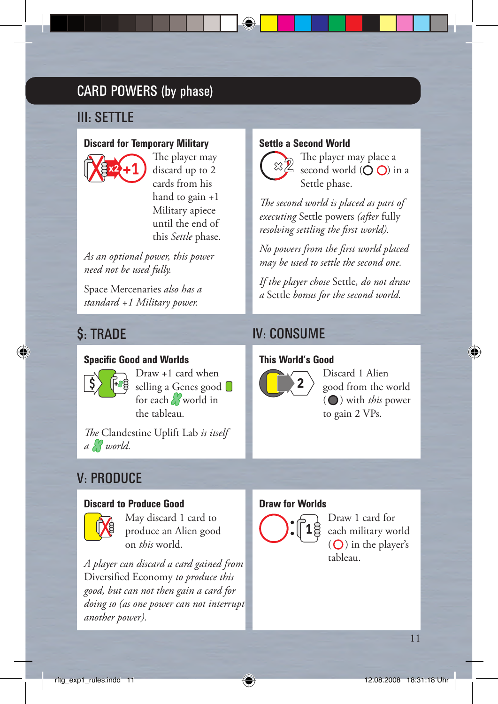# CARD POWERS (by phase)

# III: SETTLE

#### **Discard for Temporary Military**



The player may discard up to 2 cards from his hand to gain +1 Military apiece until the end of this *Settle* phase.

*As an optional power, this power need not be used fully.*

Space Mercenaries *also has a standard +1 Military power.*

### **Specific Good and Worlds**



 Draw +1 card when selling a Genes good for each world in the tableau.

*The* Clandestine Uplift Lab *is itself a world.*

# V: PRODUCE

#### **Discard to Produce Good**



 May discard 1 card to produce an Alien good on *this* world.

*A player can discard a card gained from*  Diversified Economy to produce this *good, but can not then gain a card for doing so (as one power can not interrupt another power).*

#### **Settle a Second World**



The player may place a second world  $(O O)$  in a Settle phase.

The second world is placed as part of *executing* Settle powers *(after* fully resolving settling the first world).

*No powers from the fi rst world placed may be used to settle the second one.* 

*If the player chose* Settle*, do not draw a* Settle *bonus for the second world.*

# **\$**: TRADE IV: CONSUME

#### **This World's Good**



Discard 1 Alien good from the world  $\left(\bigcirc\right)$  with *this* power to gain 2 VPs.

### **Draw for Worlds**



Draw 1 card for each military world  $(O)$  in the player's tableau.